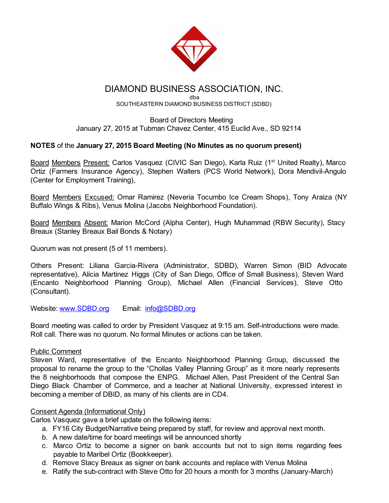

## DIAMOND BUSINESS ASSOCIATION, INC.

dba SOUTHEASTERN DIAMOND BUSINESS DISTRICT (SDBD)

#### Board of Directors Meeting January 27, 2015 at Tubman Chavez Center, 415 Euclid Ave., SD 92114

### NOTES of the January 27, 2015 Board Meeting (No Minutes as no quorum present)

Board Members Present: Carlos Vasquez (CIVIC San Diego), Karla Ruiz (1<sup>st</sup> United Realty), Marco Ortiz (Farmers Insurance Agency), Stephen Walters (PCS World Network), Dora Mendivil-Angulo (Center for Employment Training),

Board Members Excused: Omar Ramirez (Neveria Tocumbo Ice Cream Shops), Tony Araiza (NY Buffalo Wings & Ribs), Venus Molina (Jacobs Neighborhood Foundation).

Board Members Absent: Marion McCord (Alpha Center), Hugh Muhammad (RBW Security), Stacy Breaux (Stanley Breaux Bail Bonds & Notary)

Quorum was not present (5 of 11 members).

Others Present: Liliana Garcia-Rivera (Administrator, SDBD), Warren Simon (BID Advocate representative), Alicia Martinez Higgs (City of San Diego, Office of Small Business), Steven Ward (Encanto Neighborhood Planning Group), Michael Allen (Financial Services), Steve Otto (Consultant).

Website: [www.SDBD.org](http://www.sdbd.org/) Email: [info@SDBD.org](mailto:info@SDBD.org)

Board meeting was called to order by President Vasquez at 9:15 am. Self-introductions were made. Roll call. There was no quorum. No formal Minutes or actions can be taken.

#### Public Comment

Steven Ward, representative of the Encanto Neighborhood Planning Group, discussed the proposal to rename the group to the "Chollas Valley Planning Group" as it more nearly represents the 8 neighborhoods that compose the ENPG. Michael Allen, Past President of the Central San Diego Black Chamber of Commerce, and a teacher at National University, expressed interest in becoming a member of DBID, as many of his clients are in CD4.

#### Consent Agenda (Informational Only)

Carlos Vasquez gave a brief update on the following items:

- a. FY16 City Budget/Narrative being prepared by staff, for review and approval next month.
- b. A new date/time for board meetings will be announced shortly
- c. Marco Ortiz to become a signer on bank accounts but not to sign items regarding fees payable to Maribel Ortiz (Bookkeeper).
- d. Remove Stacy Breaux as signer on bank accounts and replace with Venus Molina
- e. Ratify the sub-contract with Steve Otto for 20 hours a month for 3 months (January-March)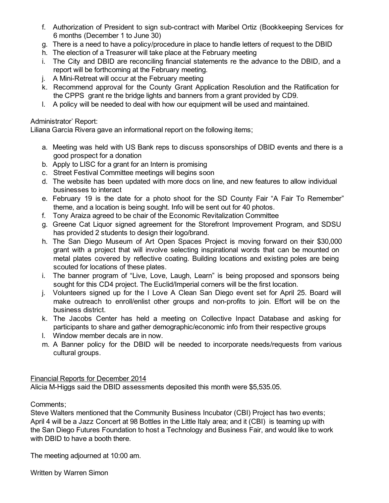- f. Authorization of President to sign sub-contract with Maribel Ortiz (Bookkeeping Services for 6 months (December 1 to June 30)
- g. There is a need to have a policy/procedure in place to handle letters of request to the DBID
- h. The election of a Treasurer will take place at the February meeting
- i. The City and DBID are reconciling financial statements re the advance to the DBID, and a report will be forthcoming at the February meeting.
- $i.$  A Mini-Retreat will occur at the February meeting
- k. Recommend approval for the County Grant Application Resolution and the Ratification for the CPPS grant re the bridge lights and banners from a grant provided by CD9.
- l. A policy will be needed to deal with how our equipment will be used and maintained.

## Administrator' Report:

Liliana Garcia Rivera gave an informational report on the following items;

- a. Meeting was held with US Bank reps to discuss sponsorships of DBID events and there is a good prospect for a donation
- b. Apply to LISC for a grant for an Intern is promising
- c. Street Festival Committee meetings will begins soon
- d. The website has been updated with more docs on line, and new features to allow individual businesses to interact
- e. February 19 is the date for a photo shoot for the SD County Fair "A Fair To Remember" theme, and a location is being sought. Info will be sent out for 40 photos.
- f. Tony Araiza agreed to be chair of the Economic Revitalization Committee
- g. Greene Cat Liquor signed agreement for the Storefront Improvement Program, and SDSU has provided 2 students to design their logo/brand.
- h. The San Diego Museum of Art Open Spaces Project is moving forward on their \$30,000 grant with a project that will involve selecting inspirational words that can be mounted on metal plates covered by reflective coating. Building locations and existing poles are being scouted for locations of these plates.
- i. The banner program of "Live, Love, Laugh, Learn" is being proposed and sponsors being sought for this CD4 project. The Euclid/Imperial corners will be the first location.
- j. Volunteers signed up for the I Love A Clean San Diego event set for April 25. Board will make outreach to enroll/enlist other groups and non-profits to join. Effort will be on the business district.
- k. The Jacobs Center has held a meeting on Collective Inpact Database and asking for participants to share and gather demographic/economic info from their respective groups
- l. Window member decals are in now.
- m. A Banner policy for the DBID will be needed to incorporate needs/requests from various cultural groups.

## Financial Reports for December 2014

Alicia MHiggs said the DBID assessments deposited this month were \$5,535.05.

#### Comments;

Steve Walters mentioned that the Community Business Incubator (CBI) Project has two events; April 4 will be a Jazz Concert at 98 Bottles in the Little Italy area; and it (CBI) is teaming up with the San Diego Futures Foundation to host a Technology and Business Fair, and would like to work with DBID to have a booth there.

The meeting adjourned at 10:00 am.

Written by Warren Simon